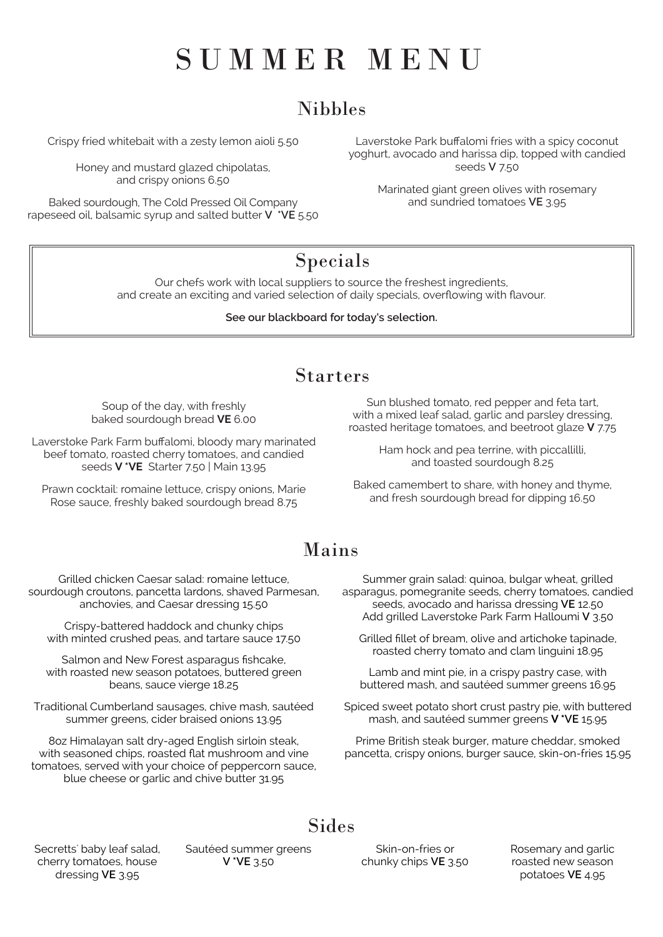# SUMMER MENU

# Nibbles

## Starters

Crispy fried whitebait with a zesty lemon aioli 5.50

Honey and mustard glazed chipolatas, and crispy onions 6.50

Baked sourdough, The Cold Pressed Oil Company rapeseed oil, balsamic syrup and salted butter **V \*VE** 5.50

Laverstoke Park buffalomi fries with a spicy coconut yoghurt, avocado and harissa dip, topped with candied seeds **V** 7.50

Marinated giant green olives with rosemary and sundried tomatoes **VE** 3.95

# Mains

Grilled chicken Caesar salad: romaine lettuce, sourdough croutons, pancetta lardons, shaved Parmesan, anchovies, and Caesar dressing 15.50

Crispy-battered haddock and chunky chips with minted crushed peas, and tartare sauce 17.50

Salmon and New Forest asparagus fishcake, with roasted new season potatoes, buttered green beans, sauce vierge 18.25

Traditional Cumberland sausages, chive mash, sautéed

summer greens, cider braised onions 13.95

8oz Himalayan salt dry-aged English sirloin steak, with seasoned chips, roasted flat mushroom and vine tomatoes, served with your choice of peppercorn sauce, blue cheese or garlic and chive butter 31.95

Secretts' baby leaf salad, cherry tomatoes, house dressing **VE** 3.95

#### Sides

Summer grain salad: quinoa, bulgar wheat, grilled asparagus, pomegranite seeds, cherry tomatoes, candied seeds, avocado and harissa dressing **VE** 12.50 Add grilled Laverstoke Park Farm Halloumi **V** 3.50

Grilled fillet of bream, olive and artichoke tapinade, roasted cherry tomato and clam linguini 18.95

Lamb and mint pie, in a crispy pastry case, with buttered mash, and sautéed summer greens 16.95

Spiced sweet potato short crust pastry pie, with buttered

mash, and sautéed summer greens **V \*VE** 15.95

Prime British steak burger, mature cheddar, smoked pancetta, crispy onions, burger sauce, skin-on-fries 15.95

Sautéed summer greens **V \*VE** 3.50

Skin-on-fries or chunky chips **VE** 3.50 Rosemary and garlic roasted new season potatoes **VE** 4.95

Our chefs work with local suppliers to source the freshest ingredients, and create an exciting and varied selection of daily specials, overflowing with flavour.

#### **See our blackboard for today's selection.**

# Specials

Soup of the day, with freshly baked sourdough bread **VE** 6.00

Laverstoke Park Farm buffalomi, bloody mary marinated beef tomato, roasted cherry tomatoes, and candied seeds **V \*VE** Starter 7.50 | Main 13.95

Prawn cocktail: romaine lettuce, crispy onions, Marie Rose sauce, freshly baked sourdough bread 8.75

Sun blushed tomato, red pepper and feta tart, with a mixed leaf salad, garlic and parsley dressing, roasted heritage tomatoes, and beetroot glaze **V** 7.75

> Ham hock and pea terrine, with piccallilli, and toasted sourdough 8.25

Baked camembert to share, with honey and thyme, and fresh sourdough bread for dipping 16.50